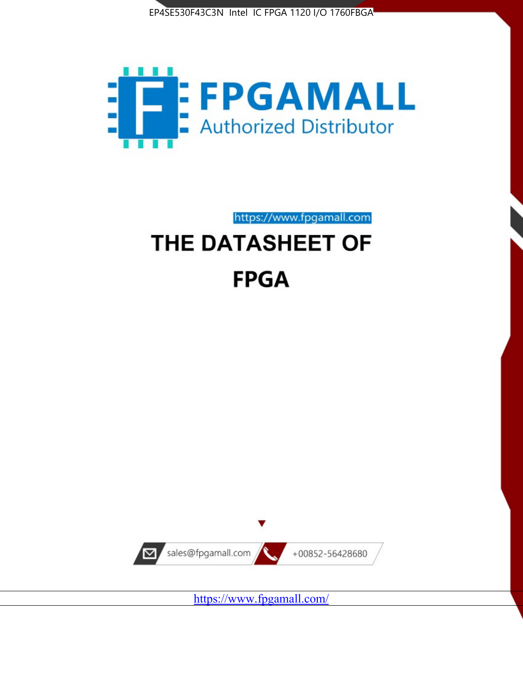



https://www.fpgamall.com

# THE DATASHEET OF **FPGA**



<https://www.fpgamall.com/>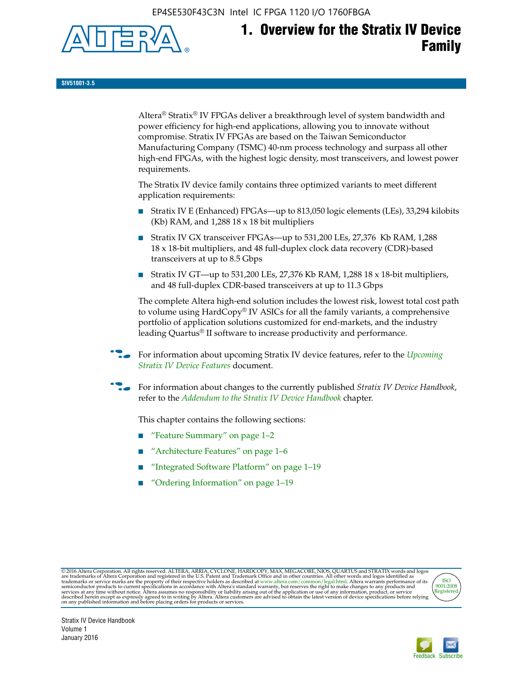EP4SE530F43C3N Intel IC FPGA 1120 I/O 1760FBGA



# **1. Overview for the Stratix IV Device Family**

**SIV51001-3.5**

Altera® Stratix® IV FPGAs deliver a breakthrough level of system bandwidth and power efficiency for high-end applications, allowing you to innovate without compromise. Stratix IV FPGAs are based on the Taiwan Semiconductor Manufacturing Company (TSMC) 40-nm process technology and surpass all other high-end FPGAs, with the highest logic density, most transceivers, and lowest power requirements.

The Stratix IV device family contains three optimized variants to meet different application requirements:

- Stratix IV E (Enhanced) FPGAs—up to 813,050 logic elements (LEs), 33,294 kilobits (Kb) RAM, and 1,288 18 x 18 bit multipliers
- Stratix IV GX transceiver FPGAs—up to 531,200 LEs, 27,376 Kb RAM, 1,288 18 x 18-bit multipliers, and 48 full-duplex clock data recovery (CDR)-based transceivers at up to 8.5 Gbps
- Stratix IV GT—up to 531,200 LEs, 27,376 Kb RAM, 1,288 18 x 18-bit multipliers, and 48 full-duplex CDR-based transceivers at up to 11.3 Gbps

The complete Altera high-end solution includes the lowest risk, lowest total cost path to volume using HardCopy® IV ASICs for all the family variants, a comprehensive portfolio of application solutions customized for end-markets, and the industry leading Quartus® II software to increase productivity and performance.

For information about upcoming Stratix IV device features, refer to the *Upcoming [Stratix IV Device Features](http://www.altera.com/literature/hb/stratix-iv/uf01001.pdf?GSA_pos=2&WT.oss_r=1&WT.oss=upcoming)* document.

f For information about changes to the currently published *Stratix IV Device Handbook*, refer to the *[Addendum to the Stratix IV Device Handbook](http://www.altera.com/literature/hb/stratix-iv/stx4_siv54002.pdf)* chapter.

This chapter contains the following sections:

- "Feature Summary" on page 1–2
- "Architecture Features" on page 1–6
- "Integrated Software Platform" on page 1–19
- "Ordering Information" on page 1–19

@2016 Altera Corporation. All rights reserved. ALTERA, ARRIA, CYCLONE, HARDCOPY, MAX, MEGACORE, NIOS, QUARTUS and STRATIX words and logos are trademarks of Altera Corporation and registered in the U.S. Patent and Trademark



Stratix IV Device Handbook Volume 1 January 2016

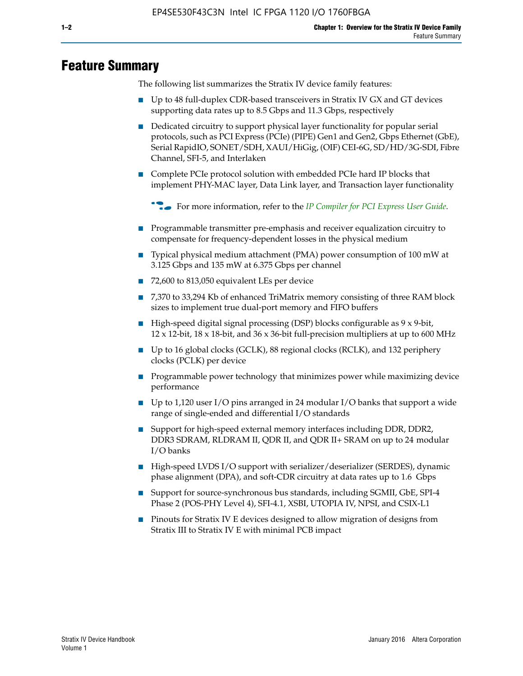# **Feature Summary**

The following list summarizes the Stratix IV device family features:

- Up to 48 full-duplex CDR-based transceivers in Stratix IV GX and GT devices supporting data rates up to 8.5 Gbps and 11.3 Gbps, respectively
- Dedicated circuitry to support physical layer functionality for popular serial protocols, such as PCI Express (PCIe) (PIPE) Gen1 and Gen2, Gbps Ethernet (GbE), Serial RapidIO, SONET/SDH, XAUI/HiGig, (OIF) CEI-6G, SD/HD/3G-SDI, Fibre Channel, SFI-5, and Interlaken
- Complete PCIe protocol solution with embedded PCIe hard IP blocks that implement PHY-MAC layer, Data Link layer, and Transaction layer functionality

**For more information, refer to the** *[IP Compiler for PCI Express User Guide](http://www.altera.com/literature/ug/ug_pci_express.pdf)***.** 

- Programmable transmitter pre-emphasis and receiver equalization circuitry to compensate for frequency-dependent losses in the physical medium
- Typical physical medium attachment (PMA) power consumption of 100 mW at 3.125 Gbps and 135 mW at 6.375 Gbps per channel
- 72,600 to 813,050 equivalent LEs per device
- 7,370 to 33,294 Kb of enhanced TriMatrix memory consisting of three RAM block sizes to implement true dual-port memory and FIFO buffers
- High-speed digital signal processing (DSP) blocks configurable as 9 x 9-bit,  $12 \times 12$ -bit,  $18 \times 18$ -bit, and  $36 \times 36$ -bit full-precision multipliers at up to 600 MHz
- Up to 16 global clocks (GCLK), 88 regional clocks (RCLK), and 132 periphery clocks (PCLK) per device
- Programmable power technology that minimizes power while maximizing device performance
- Up to 1,120 user I/O pins arranged in 24 modular I/O banks that support a wide range of single-ended and differential I/O standards
- Support for high-speed external memory interfaces including DDR, DDR2, DDR3 SDRAM, RLDRAM II, QDR II, and QDR II+ SRAM on up to 24 modular I/O banks
- High-speed LVDS I/O support with serializer/deserializer (SERDES), dynamic phase alignment (DPA), and soft-CDR circuitry at data rates up to 1.6 Gbps
- Support for source-synchronous bus standards, including SGMII, GbE, SPI-4 Phase 2 (POS-PHY Level 4), SFI-4.1, XSBI, UTOPIA IV, NPSI, and CSIX-L1
- Pinouts for Stratix IV E devices designed to allow migration of designs from Stratix III to Stratix IV E with minimal PCB impact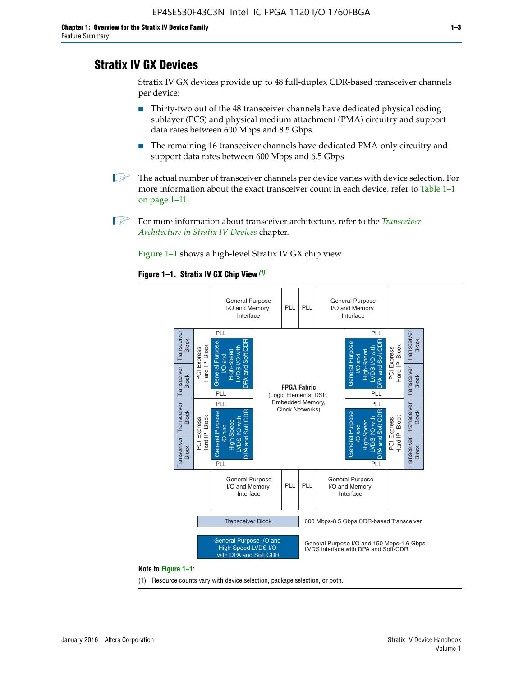# **Stratix IV GX Devices**

Stratix IV GX devices provide up to 48 full-duplex CDR-based transceiver channels per device:

- Thirty-two out of the 48 transceiver channels have dedicated physical coding sublayer (PCS) and physical medium attachment (PMA) circuitry and support data rates between 600 Mbps and 8.5 Gbps
- The remaining 16 transceiver channels have dedicated PMA-only circuitry and support data rates between 600 Mbps and 6.5 Gbps
- **1 The actual number of transceiver channels per device varies with device selection. For** more information about the exact transceiver count in each device, refer to Table 1–1 on page 1–11.
- 1 For more information about transceiver architecture, refer to the *[Transceiver](http://www.altera.com/literature/hb/stratix-iv/stx4_siv52001.pdf)  [Architecture in Stratix IV Devices](http://www.altera.com/literature/hb/stratix-iv/stx4_siv52001.pdf)* chapter.

Figure 1–1 shows a high-level Stratix IV GX chip view.

#### **Figure 1–1. Stratix IV GX Chip View** *(1)*



#### **Note to Figure 1–1:**

(1) Resource counts vary with device selection, package selection, or both.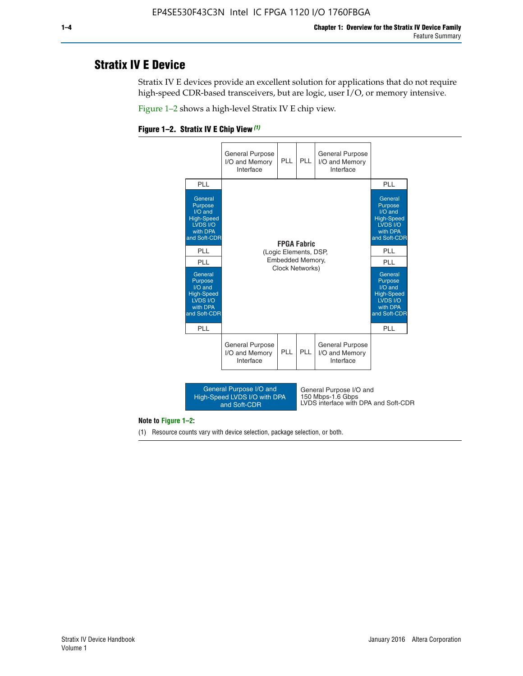# **Stratix IV E Device**

Stratix IV E devices provide an excellent solution for applications that do not require high-speed CDR-based transceivers, but are logic, user I/O, or memory intensive.

Figure 1–2 shows a high-level Stratix IV E chip view.





#### **Note to Figure 1–2:**

(1) Resource counts vary with device selection, package selection, or both.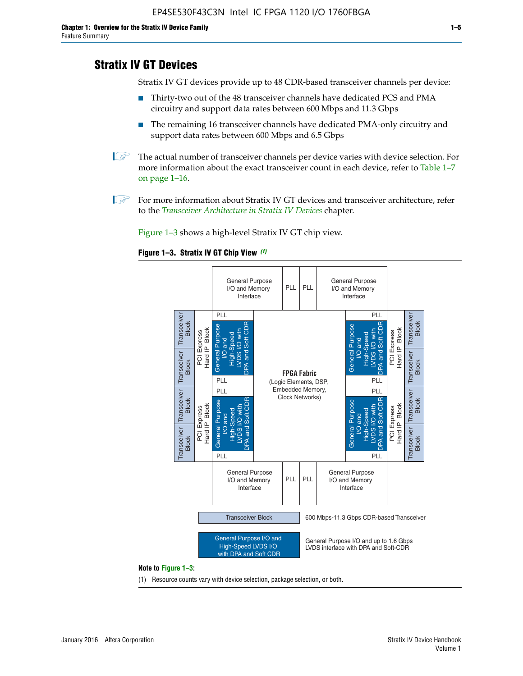# **Stratix IV GT Devices**

Stratix IV GT devices provide up to 48 CDR-based transceiver channels per device:

- Thirty-two out of the 48 transceiver channels have dedicated PCS and PMA circuitry and support data rates between 600 Mbps and 11.3 Gbps
- The remaining 16 transceiver channels have dedicated PMA-only circuitry and support data rates between 600 Mbps and 6.5 Gbps
- **1** The actual number of transceiver channels per device varies with device selection. For more information about the exact transceiver count in each device, refer to Table 1–7 on page 1–16.
- $\mathbb{I}$  For more information about Stratix IV GT devices and transceiver architecture, refer to the *[Transceiver Architecture in Stratix IV Devices](http://www.altera.com/literature/hb/stratix-iv/stx4_siv52001.pdf)* chapter.

Figure 1–3 shows a high-level Stratix IV GT chip view.

#### **Figure 1–3. Stratix IV GT Chip View** *(1)*



(1) Resource counts vary with device selection, package selection, or both.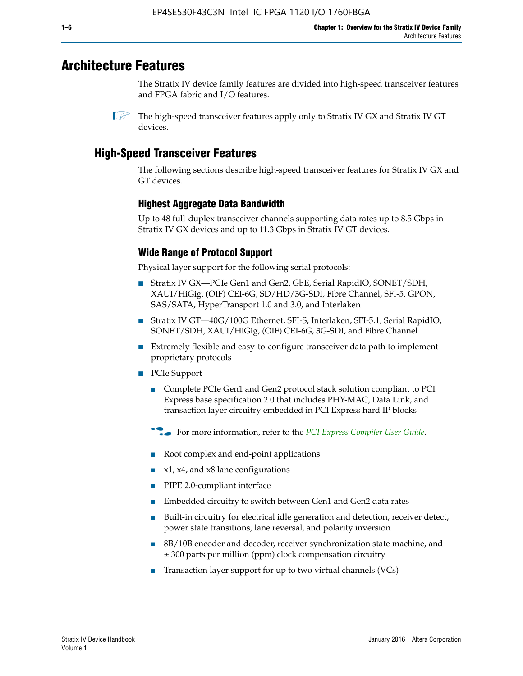# **Architecture Features**

The Stratix IV device family features are divided into high-speed transceiver features and FPGA fabric and I/O features.

 $\mathbb{I}$  The high-speed transceiver features apply only to Stratix IV GX and Stratix IV GT devices.

# **High-Speed Transceiver Features**

The following sections describe high-speed transceiver features for Stratix IV GX and GT devices.

### **Highest Aggregate Data Bandwidth**

Up to 48 full-duplex transceiver channels supporting data rates up to 8.5 Gbps in Stratix IV GX devices and up to 11.3 Gbps in Stratix IV GT devices.

# **Wide Range of Protocol Support**

Physical layer support for the following serial protocols:

- Stratix IV GX—PCIe Gen1 and Gen2, GbE, Serial RapidIO, SONET/SDH, XAUI/HiGig, (OIF) CEI-6G, SD/HD/3G-SDI, Fibre Channel, SFI-5, GPON, SAS/SATA, HyperTransport 1.0 and 3.0, and Interlaken
- Stratix IV GT—40G/100G Ethernet, SFI-S, Interlaken, SFI-5.1, Serial RapidIO, SONET/SDH, XAUI/HiGig, (OIF) CEI-6G, 3G-SDI, and Fibre Channel
- Extremely flexible and easy-to-configure transceiver data path to implement proprietary protocols
- PCIe Support
	- Complete PCIe Gen1 and Gen2 protocol stack solution compliant to PCI Express base specification 2.0 that includes PHY-MAC, Data Link, and transaction layer circuitry embedded in PCI Express hard IP blocks
	- **For more information, refer to the [PCI Express Compiler User Guide](http://www.altera.com/literature/ug/ug_pci_express.pdf).**
	- Root complex and end-point applications
	- $x1, x4,$  and  $x8$  lane configurations
	- PIPE 2.0-compliant interface
	- Embedded circuitry to switch between Gen1 and Gen2 data rates
	- Built-in circuitry for electrical idle generation and detection, receiver detect, power state transitions, lane reversal, and polarity inversion
	- 8B/10B encoder and decoder, receiver synchronization state machine, and ± 300 parts per million (ppm) clock compensation circuitry
	- Transaction layer support for up to two virtual channels (VCs)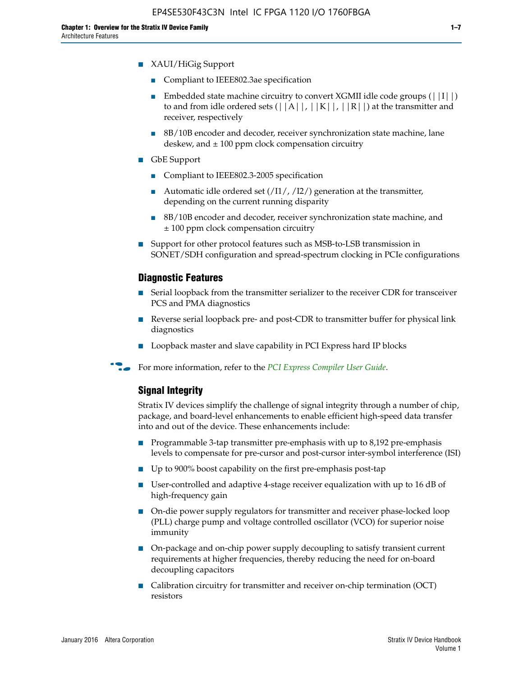- XAUI/HiGig Support
	- Compliant to IEEE802.3ae specification
	- **■** Embedded state machine circuitry to convert XGMII idle code groups  $(|11|)$ to and from idle ordered sets  $(|A|, |K|, |R|)$  at the transmitter and receiver, respectively
	- 8B/10B encoder and decoder, receiver synchronization state machine, lane deskew, and  $\pm 100$  ppm clock compensation circuitry
- GbE Support
	- Compliant to IEEE802.3-2005 specification
	- Automatic idle ordered set  $(111/112/1)$  generation at the transmitter, depending on the current running disparity
	- 8B/10B encoder and decoder, receiver synchronization state machine, and ± 100 ppm clock compensation circuitry
- Support for other protocol features such as MSB-to-LSB transmission in SONET/SDH configuration and spread-spectrum clocking in PCIe configurations

#### **Diagnostic Features**

- Serial loopback from the transmitter serializer to the receiver CDR for transceiver PCS and PMA diagnostics
- Reverse serial loopback pre- and post-CDR to transmitter buffer for physical link diagnostics
- Loopback master and slave capability in PCI Express hard IP blocks
- **For more information, refer to the** *[PCI Express Compiler User Guide](http://www.altera.com/literature/ug/ug_pci_express.pdf)***.**

#### **Signal Integrity**

Stratix IV devices simplify the challenge of signal integrity through a number of chip, package, and board-level enhancements to enable efficient high-speed data transfer into and out of the device. These enhancements include:

- Programmable 3-tap transmitter pre-emphasis with up to 8,192 pre-emphasis levels to compensate for pre-cursor and post-cursor inter-symbol interference (ISI)
- Up to 900% boost capability on the first pre-emphasis post-tap
- User-controlled and adaptive 4-stage receiver equalization with up to 16 dB of high-frequency gain
- On-die power supply regulators for transmitter and receiver phase-locked loop (PLL) charge pump and voltage controlled oscillator (VCO) for superior noise immunity
- On-package and on-chip power supply decoupling to satisfy transient current requirements at higher frequencies, thereby reducing the need for on-board decoupling capacitors
- Calibration circuitry for transmitter and receiver on-chip termination (OCT) resistors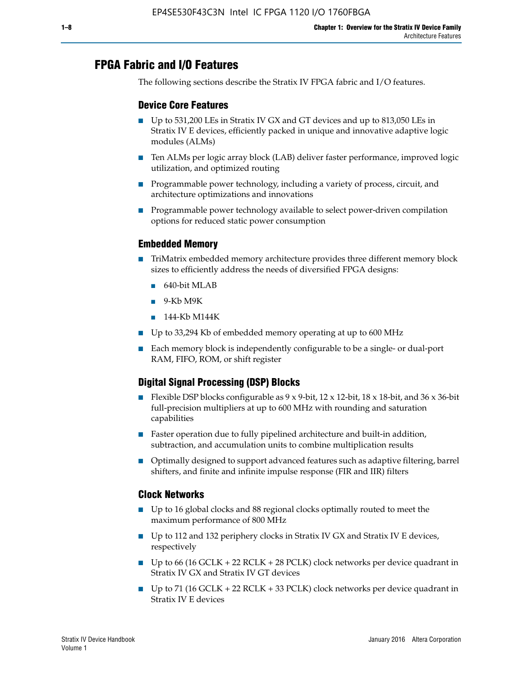# **FPGA Fabric and I/O Features**

The following sections describe the Stratix IV FPGA fabric and I/O features.

### **Device Core Features**

- Up to 531,200 LEs in Stratix IV GX and GT devices and up to 813,050 LEs in Stratix IV E devices, efficiently packed in unique and innovative adaptive logic modules (ALMs)
- Ten ALMs per logic array block (LAB) deliver faster performance, improved logic utilization, and optimized routing
- Programmable power technology, including a variety of process, circuit, and architecture optimizations and innovations
- Programmable power technology available to select power-driven compilation options for reduced static power consumption

### **Embedded Memory**

- TriMatrix embedded memory architecture provides three different memory block sizes to efficiently address the needs of diversified FPGA designs:
	- 640-bit MLAB
	- 9-Kb M9K
	- 144-Kb M144K
- Up to 33,294 Kb of embedded memory operating at up to 600 MHz
- Each memory block is independently configurable to be a single- or dual-port RAM, FIFO, ROM, or shift register

# **Digital Signal Processing (DSP) Blocks**

- Flexible DSP blocks configurable as  $9 \times 9$ -bit,  $12 \times 12$ -bit,  $18 \times 18$ -bit, and  $36 \times 36$ -bit full-precision multipliers at up to 600 MHz with rounding and saturation capabilities
- Faster operation due to fully pipelined architecture and built-in addition, subtraction, and accumulation units to combine multiplication results
- Optimally designed to support advanced features such as adaptive filtering, barrel shifters, and finite and infinite impulse response (FIR and IIR) filters

#### **Clock Networks**

- Up to 16 global clocks and 88 regional clocks optimally routed to meet the maximum performance of 800 MHz
- Up to 112 and 132 periphery clocks in Stratix IV GX and Stratix IV E devices, respectively
- Up to 66 (16 GCLK + 22 RCLK + 28 PCLK) clock networks per device quadrant in Stratix IV GX and Stratix IV GT devices
- Up to 71 (16 GCLK + 22 RCLK + 33 PCLK) clock networks per device quadrant in Stratix IV E devices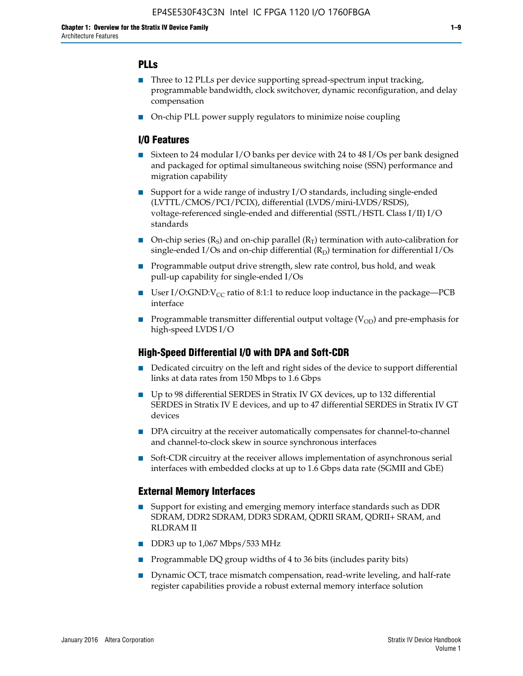### **PLLs**

- Three to 12 PLLs per device supporting spread-spectrum input tracking, programmable bandwidth, clock switchover, dynamic reconfiguration, and delay compensation
- On-chip PLL power supply regulators to minimize noise coupling

#### **I/O Features**

- Sixteen to 24 modular I/O banks per device with 24 to 48 I/Os per bank designed and packaged for optimal simultaneous switching noise (SSN) performance and migration capability
- Support for a wide range of industry I/O standards, including single-ended (LVTTL/CMOS/PCI/PCIX), differential (LVDS/mini-LVDS/RSDS), voltage-referenced single-ended and differential (SSTL/HSTL Class I/II) I/O standards
- **O**n-chip series  $(R_S)$  and on-chip parallel  $(R_T)$  termination with auto-calibration for single-ended I/Os and on-chip differential  $(R_D)$  termination for differential I/Os
- Programmable output drive strength, slew rate control, bus hold, and weak pull-up capability for single-ended I/Os
- User I/O:GND: $V_{CC}$  ratio of 8:1:1 to reduce loop inductance in the package—PCB interface
- **■** Programmable transmitter differential output voltage ( $V_{OD}$ ) and pre-emphasis for high-speed LVDS I/O

#### **High-Speed Differential I/O with DPA and Soft-CDR**

- Dedicated circuitry on the left and right sides of the device to support differential links at data rates from 150 Mbps to 1.6 Gbps
- Up to 98 differential SERDES in Stratix IV GX devices, up to 132 differential SERDES in Stratix IV E devices, and up to 47 differential SERDES in Stratix IV GT devices
- DPA circuitry at the receiver automatically compensates for channel-to-channel and channel-to-clock skew in source synchronous interfaces
- Soft-CDR circuitry at the receiver allows implementation of asynchronous serial interfaces with embedded clocks at up to 1.6 Gbps data rate (SGMII and GbE)

#### **External Memory Interfaces**

- Support for existing and emerging memory interface standards such as DDR SDRAM, DDR2 SDRAM, DDR3 SDRAM, QDRII SRAM, QDRII+ SRAM, and RLDRAM II
- DDR3 up to 1,067 Mbps/533 MHz
- Programmable DQ group widths of 4 to 36 bits (includes parity bits)
- Dynamic OCT, trace mismatch compensation, read-write leveling, and half-rate register capabilities provide a robust external memory interface solution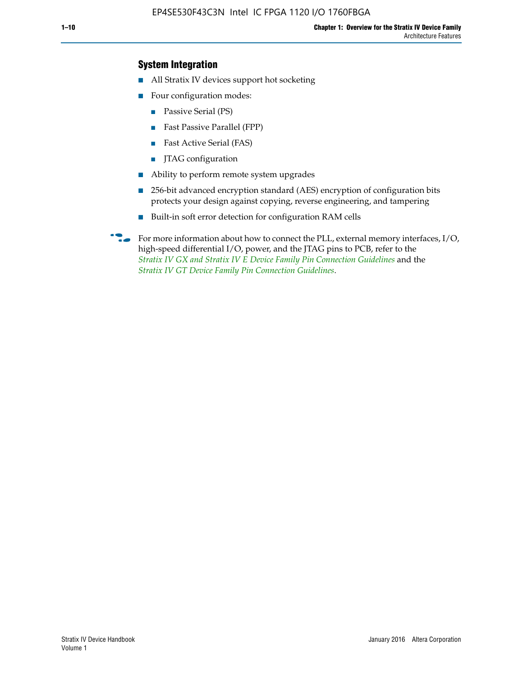### **System Integration**

- All Stratix IV devices support hot socketing
- Four configuration modes:
	- Passive Serial (PS)
	- Fast Passive Parallel (FPP)
	- Fast Active Serial (FAS)
	- JTAG configuration
- Ability to perform remote system upgrades
- 256-bit advanced encryption standard (AES) encryption of configuration bits protects your design against copying, reverse engineering, and tampering
- Built-in soft error detection for configuration RAM cells
- For more information about how to connect the PLL, external memory interfaces,  $I/O$ , high-speed differential I/O, power, and the JTAG pins to PCB, refer to the *[Stratix IV GX and Stratix IV E Device Family Pin Connection Guidelines](http://www.altera.com/literature/dp/stratix4/PCG-01005.pdf)* and the *[Stratix IV GT Device Family Pin Connection Guidelines](http://www.altera.com/literature/dp/stratix4/PCG-01006.pdf)*.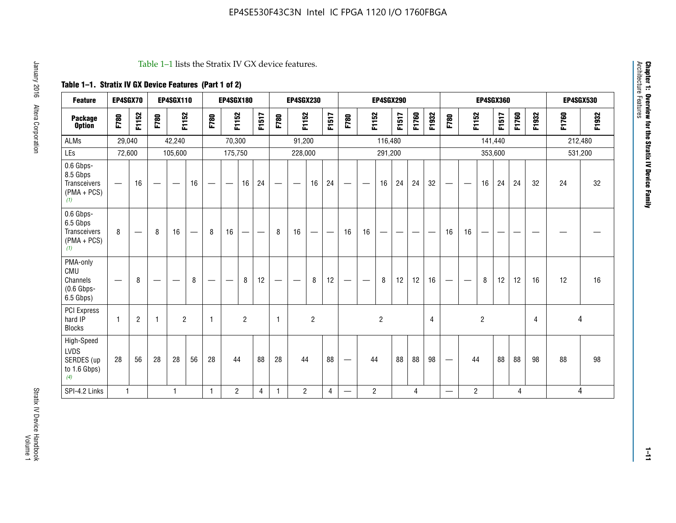#### Table 1–1 lists the Stratix IV GX device features.

# **Table 1–1. Stratix IV GX Device Features (Part 1 of 2)**

| <b>Feature</b>                                                | EP4SGX70                       |                |                   | <b>EP4SGX110</b>  |                          |                                | <b>EP4SGX180</b>               |                |       |              | <b>EP4SGX230</b>              |                |                               |                                |                | <b>EP4SGX290</b> |       |       |       |                          |                   |                | <b>EP4SGX360</b> |       |       |       | <b>EP4SGX530</b> |
|---------------------------------------------------------------|--------------------------------|----------------|-------------------|-------------------|--------------------------|--------------------------------|--------------------------------|----------------|-------|--------------|-------------------------------|----------------|-------------------------------|--------------------------------|----------------|------------------|-------|-------|-------|--------------------------|-------------------|----------------|------------------|-------|-------|-------|------------------|
| <b>Package</b><br><b>Option</b>                               | F780                           | F1152          | F780              | F1152             |                          | F780                           | F1152                          |                | F1517 | F780         | F1152                         |                | F1517                         | F780                           | F1152          |                  | F1517 | F1760 | F1932 | F780                     | F1152             |                | F1517            | F1760 | F1932 | F1760 | F1932            |
| <b>ALMs</b>                                                   | 29,040                         |                |                   | 42,240            |                          |                                | 70,300                         |                |       |              | 91,200                        |                |                               |                                |                | 116,480          |       |       |       |                          |                   |                | 141,440          |       |       |       | 212,480          |
| LEs                                                           | 72,600                         |                |                   | 105,600           |                          |                                | 175,750                        |                |       |              | 228,000                       |                |                               |                                |                | 291,200          |       |       |       |                          |                   | 353,600        |                  |       |       |       | 531,200          |
| 0.6 Gbps-<br>8.5 Gbps<br>Transceivers<br>$(PMA + PCs)$<br>(1) |                                | 16             | $\hspace{0.05cm}$ | $\hspace{0.05cm}$ | 16                       | $\qquad \qquad \longleftarrow$ | $\hspace{0.05cm}$              | 16             | 24    |              | $\overbrace{\phantom{aaaaa}}$ | 16             | 24                            | —                              |                | 16               | 24    | 24    | 32    | $\overline{\phantom{0}}$ | $\hspace{0.05cm}$ | 16             | 24               | 24    | 32    | 24    | 32               |
| 0.6 Gbps-<br>6.5 Gbps<br>Transceivers<br>$(PMA + PCS)$<br>(1) | 8                              |                | 8                 | 16                | $\overline{\phantom{0}}$ | 8                              | 16                             | -              | —     | 8            | 16                            | —              | $\overbrace{\phantom{aaaaa}}$ | 16                             | 16             |                  |       |       |       | 16                       | 16                |                |                  |       |       |       |                  |
| PMA-only<br>CMU<br>Channels<br>$(0.6$ Gbps-<br>6.5 Gbps)      | $\qquad \qquad \longleftarrow$ | 8              | $\hspace{0.05cm}$ |                   | 8                        | $\qquad \qquad \longleftarrow$ | $\qquad \qquad \longleftarrow$ | 8              | 12    | -            | $\overline{\phantom{a}}$      | 8              | 12                            | $\qquad \qquad \longleftarrow$ |                | 8                | 12    | 12    | 16    |                          | $\hspace{0.05cm}$ | 8              | 12               | 12    | 16    | 12    | 16               |
| PCI Express<br>hard IP<br><b>Blocks</b>                       | $\mathbf{1}$                   | $\overline{2}$ | -1                | $\overline{2}$    |                          | 1                              |                                | $\overline{2}$ |       | $\mathbf{1}$ |                               | $\overline{c}$ |                               |                                |                | $\overline{c}$   |       |       | 4     |                          |                   | $\overline{2}$ |                  |       | 4     |       | 4                |
| High-Speed<br>LVDS<br>SERDES (up<br>to 1.6 Gbps)<br>(4)       | 28                             | 56             | 28                | 28                | 56                       | 28                             | 44                             |                | 88    | 28           | 44                            |                | 88                            | —                              | 44             |                  | 88    | 88    | 98    |                          | 44                |                | 88               | 88    | 98    | 88    | 98               |
| SPI-4.2 Links                                                 | $\mathbf{1}$                   |                |                   | 1                 |                          | $\mathbf{1}$                   | $\overline{c}$                 |                | 4     | $\mathbf{1}$ | $\overline{c}$                |                | $\overline{4}$                | —                              | $\overline{2}$ |                  |       | 4     |       | $\overline{\phantom{0}}$ | $\overline{2}$    |                |                  | 4     |       |       | 4                |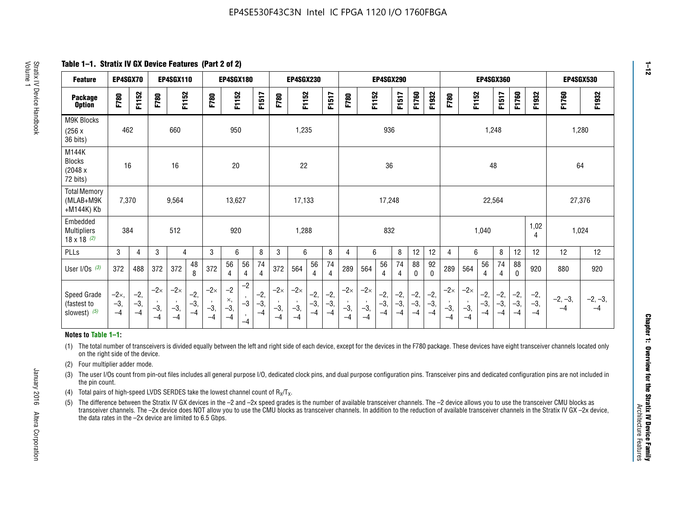**Table 1–1. Stratix IV GX Device Features (Part 2 of 2)**

| <b>Feature</b>                                       | EP4SGX70                |                        |                             | <b>EP4SGX110</b>            |                      |                             | <b>EP4SGX180</b>          |                      |                        |                             | <b>EP4SGX230</b>            |                      |                      |                            |                             | EP4SGX290              |                      |                      |                        |                             |                             |                        | <b>EP4SGX360</b>      |                      |                        | <b>EP4SGX530</b>  |                 |
|------------------------------------------------------|-------------------------|------------------------|-----------------------------|-----------------------------|----------------------|-----------------------------|---------------------------|----------------------|------------------------|-----------------------------|-----------------------------|----------------------|----------------------|----------------------------|-----------------------------|------------------------|----------------------|----------------------|------------------------|-----------------------------|-----------------------------|------------------------|-----------------------|----------------------|------------------------|-------------------|-----------------|
| <b>Package</b><br><b>Option</b>                      | F780                    | F1152                  | F780                        | F1152                       |                      | F780                        | F1152                     |                      | F1517                  | F780                        | F1152                       |                      | F1517                | F780                       | F1152                       |                        | F1517                | F1760                | F1932                  | F780                        | F1152                       |                        | F1517                 | F1760                | F1932                  | F1760             | F1932           |
| M9K Blocks<br>(256x)<br>36 bits)                     | 462                     |                        |                             | 660                         |                      |                             | 950                       |                      |                        |                             | 1,235                       |                      |                      |                            |                             | 936                    |                      |                      |                        |                             |                             | 1,248                  |                       |                      |                        |                   | 1,280           |
| M144K<br><b>Blocks</b><br>(2048 x<br>72 bits)        | 16                      |                        |                             | 16                          |                      |                             | 20                        |                      |                        |                             | 22                          |                      |                      |                            |                             | 36                     |                      |                      |                        |                             |                             | 48                     |                       |                      |                        | 64                |                 |
| <b>Total Memory</b><br>(MLAB+M9K<br>+M144K) Kb       | 7,370                   |                        |                             | 9,564                       |                      |                             | 13,627                    |                      |                        |                             | 17,133                      |                      |                      |                            |                             | 17,248                 |                      |                      |                        |                             |                             | 22,564                 |                       |                      |                        | 27,376            |                 |
| Embedded<br><b>Multipliers</b><br>$18 \times 18$ (2) | 384                     |                        |                             | 512                         |                      |                             | 920                       |                      |                        |                             | 1,288                       |                      |                      |                            |                             | 832                    |                      |                      |                        |                             |                             | 1,040                  |                       |                      | 1,02<br>4              | 1,024             |                 |
| PLLs                                                 | 3                       | $\overline{4}$         | 3                           | 4                           |                      | 3                           | 6                         |                      | 8                      | 3                           | 6                           |                      | 8                    | 4                          | 6                           |                        | 8                    | 12                   | 12                     | 4                           | 6                           |                        | 8                     | 12                   | 12                     | 12                | 12              |
| User $I/Os$ (3)                                      | 372                     | 488                    | 372                         | 372                         | 48<br>8              | 372                         | 56<br>4                   | 56<br>4              | 74<br>4                | 372                         | 564                         | 56<br>$\overline{4}$ | 74<br>$\overline{4}$ | 289                        | 564                         | 56<br>4                | 74<br>4              | 88<br>0              | 92<br>$\mathbf 0$      | 289                         | 564                         | 56<br>4                | 74<br>4               | 88<br>$\mathbf{0}$   | 920                    | 880               | 920             |
| Speed Grade<br>(fastest to<br>slowest) (5)           | $-2x,$<br>$-3,$<br>$-4$ | $-2,$<br>$-3,$<br>$-4$ | $-2\times$<br>$-3,$<br>$-4$ | $-2\times$<br>$-3,$<br>$-4$ | $-2,$<br>-3,<br>$-4$ | $-2\times$<br>$-3,$<br>$-4$ | $-2$<br>×,<br>$-3,$<br>-4 | $-2$<br>$-3$<br>$-4$ | $-2,$<br>$-3,$<br>$-4$ | $-2\times$<br>$-3,$<br>$-4$ | $-2\times$<br>$-3,$<br>$-4$ | $-2,$<br>-3,<br>$-4$ | $-2,$<br>-3,<br>$-4$ | $-2\times$<br>$-3$<br>$-4$ | $-2\times$<br>$-3,$<br>$-4$ | $-2,$<br>$-3,$<br>$-4$ | $-2,$<br>-3,<br>$-4$ | $-2,$<br>-3,<br>$-4$ | $-2,$<br>$-3,$<br>$-4$ | $-2\times$<br>$-3,$<br>$-4$ | $-2\times$<br>$-3,$<br>$-4$ | $-2,$<br>$-3,$<br>$-4$ | $-2,$<br>$-3$<br>$-4$ | $-2,$<br>-3,<br>$-4$ | $-2,$<br>$-3,$<br>$-4$ | $-2, -3,$<br>$-4$ | $-2, -3,$<br>-4 |

#### **Notes to Table 1–1:**

(1) The total number of transceivers is divided equally between the left and right side of each device, except for the devices in the F780 package. These devices have eight transceiver channels located only on the right side of the device.

(2) Four multiplier adder mode.

(3) The user I/Os count from pin-out files includes all general purpose I/O, dedicated clock pins, and dual purpose configuration pins. Transceiver pins and dedicated configuration pins are not included in the pin count.

- (4) Total pairs of high-speed LVDS SERDES take the lowest channel count of  $R_X/T_X$ .
- (5) The difference between the Stratix IV GX devices in the –2 and –2x speed grades is the number of available transceiver channels. The –2 device allows you to use the transceiver CMU blocks as transceiver channels. The –2x device does NOT allow you to use the CMU blocks as transceiver channels. In addition to the reduction of available transceiver channels in the Stratix IV GX –2x device, the data rates in the –2x device are limited to 6.5 Gbps.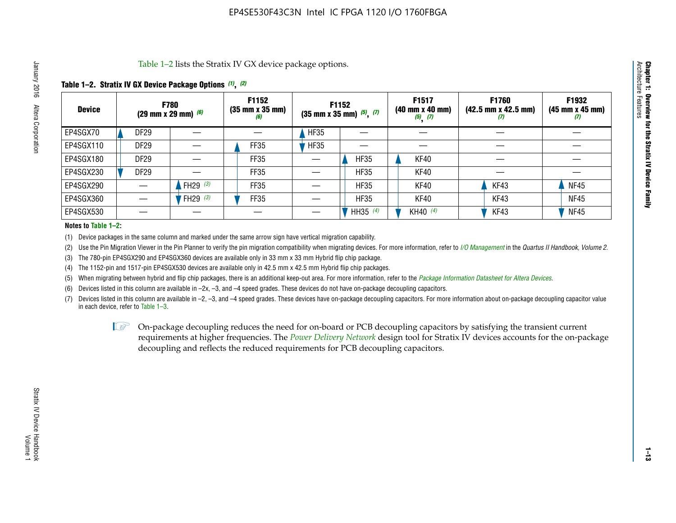Table 1–2 lists the Stratix IV GX device package options.

### **Table 1–2. Stratix IV GX Device Package Options** *(1)***,** *(2)*

| <b>Device</b> |                  | <b>F780</b><br>(29 mm x 29 mm) $(6)$ | F1152<br>$(35 \, \text{mm} \times 35 \, \text{mm})$<br>(6) |             | F1152<br>$(35$ mm x 35 mm) $(5)$ , $(7)$ | F1517<br>(40 mm x 40 mm)<br>$(5)$ $(7)$ | <b>F1760</b><br>$(42.5 \text{ mm} \times 42.5 \text{ mm})$<br>$\boldsymbol{U}$ | F1932<br>$(45 \, \text{mm} \times 45 \, \text{mm})$<br>(7) |
|---------------|------------------|--------------------------------------|------------------------------------------------------------|-------------|------------------------------------------|-----------------------------------------|--------------------------------------------------------------------------------|------------------------------------------------------------|
| EP4SGX70      | <b>DF29</b>      |                                      |                                                            | HF35        |                                          |                                         |                                                                                |                                                            |
| EP4SGX110     | <b>DF29</b>      |                                      | <b>FF35</b>                                                | <b>HF35</b> |                                          |                                         |                                                                                |                                                            |
| EP4SGX180     | DF <sub>29</sub> |                                      | FF35                                                       |             | <b>HF35</b>                              | KF40                                    |                                                                                |                                                            |
| EP4SGX230     | <b>DF29</b>      |                                      | FF35                                                       |             | <b>HF35</b>                              | KF40                                    |                                                                                |                                                            |
| EP4SGX290     |                  | FH29 $(3)$                           | FF35                                                       |             | <b>HF35</b>                              | <b>KF40</b>                             | KF43                                                                           | <b>NF45</b>                                                |
| EP4SGX360     |                  | <sup>'</sup> FH29 <sup>(3)</sup>     | <b>FF35</b>                                                |             | <b>HF35</b>                              | <b>KF40</b>                             | KF43                                                                           | <b>NF45</b>                                                |
| EP4SGX530     |                  |                                      |                                                            |             | HH35 (4)                                 | KH40 (4)                                | KF43                                                                           | <b>NF45</b>                                                |

#### **Notes to Table 1–2:**

(1) Device packages in the same column and marked under the same arrow sign have vertical migration capability.

(2) Use the Pin Migration Viewer in the Pin Planner to verify the pin migration compatibility when migrating devices. For more information, refer to *[I/O Management](http://www.altera.com/literature/hb/qts/qts_qii52013.pdf)* in the *Quartus II Handbook, Volume 2*.

(3) The 780-pin EP4SGX290 and EP4SGX360 devices are available only in 33 mm x 33 mm Hybrid flip chip package.

(4) The 1152-pin and 1517-pin EP4SGX530 devices are available only in 42.5 mm x 42.5 mm Hybrid flip chip packages.

(5) When migrating between hybrid and flip chip packages, there is an additional keep-out area. For more information, refer to the *[Package Information Datasheet for Altera Devices](http://www.altera.com/literature/ds/dspkg.pdf)*.

(6) Devices listed in this column are available in –2x, –3, and –4 speed grades. These devices do not have on-package decoupling capacitors.

(7) Devices listed in this column are available in –2, –3, and –4 speed grades. These devices have on-package decoupling capacitors. For more information about on-package decoupling capacitor value in each device, refer to Table 1–3.

 $\mathbb{L}$ s On-package decoupling reduces the need for on-board or PCB decoupling capacitors by satisfying the transient current requirements at higher frequencies. The *[Power Delivery Network](http://www.altera.com/literature/ug/pdn_tool_stxiv.zip)* design tool for Stratix IV devices accounts for the on-package decoupling and reflects the reduced requirements for PCB decoupling capacitors.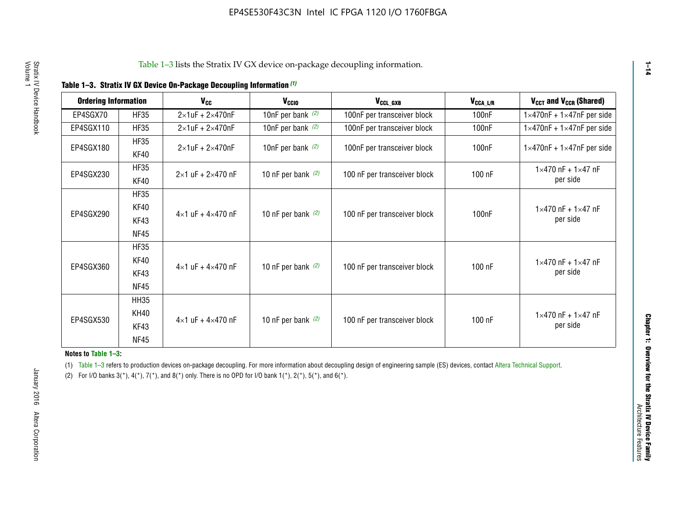|  |  | Table 1-3. Stratix IV GX Device On-Package Decoupling Information (1) |  |  |
|--|--|-----------------------------------------------------------------------|--|--|
|--|--|-----------------------------------------------------------------------|--|--|

| <b>Ordering Information</b> |                     | <b>V<sub>cc</sub></b>               | V <sub>ccio</sub>    | V <sub>CCL GXB</sub>         | V <sub>CCA_L/R</sub> | V <sub>CCT</sub> and V <sub>CCR</sub> (Shared)   |
|-----------------------------|---------------------|-------------------------------------|----------------------|------------------------------|----------------------|--------------------------------------------------|
| EP4SGX70                    | <b>HF35</b>         | $2\times1$ uF + $2\times470$ nF     | 10nF per bank $(2)$  | 100nF per transceiver block  | 100 <sub>n</sub> F   | $1 \times 470$ nF + $1 \times 47$ nF per side    |
| EP4SGX110                   | <b>HF35</b>         | $2\times1$ uF + $2\times470$ nF     | 10nF per bank $(2)$  | 100nF per transceiver block  | 100 <sub>n</sub> F   | $1\times470$ nF + $1\times47$ nF per side        |
| EP4SGX180                   | <b>HF35</b><br>KF40 | $2\times1$ uF + $2\times470$ nF     | 10nF per bank $(2)$  | 100nF per transceiver block  | 100 <sub>n</sub> F   | $1 \times 470$ nF + $1 \times 47$ nF per side    |
| EP4SGX230                   | <b>HF35</b><br>KF40 | $2 \times 1$ uF + $2 \times 470$ nF | 10 nF per bank $(2)$ | 100 nF per transceiver block | 100 nF               | $1 \times 470$ nF + $1 \times 47$ nF<br>per side |
|                             | <b>HF35</b><br>KF40 |                                     |                      |                              |                      | $1 \times 470$ nF + $1 \times 47$ nF             |
| EP4SGX290                   | KF43<br><b>NF45</b> | $4 \times 1$ uF + $4 \times 470$ nF | 10 nF per bank $(2)$ | 100 nF per transceiver block | 100nF                | per side                                         |
|                             | <b>HF35</b><br>KF40 |                                     |                      |                              |                      | $1 \times 470$ nF + $1 \times 47$ nF             |
| EP4SGX360                   | KF43<br><b>NF45</b> | $4 \times 1$ uF + $4 \times 470$ nF | 10 nF per bank $(2)$ | 100 nF per transceiver block | 100 nF               | per side                                         |
|                             | <b>HH35</b>         |                                     |                      |                              |                      |                                                  |
| EP4SGX530                   | <b>KH40</b><br>KF43 | $4 \times 1$ uF + $4 \times 470$ nF | 10 nF per bank $(2)$ | 100 nF per transceiver block | 100 nF               | $1 \times 470$ nF + $1 \times 47$ nF<br>per side |
|                             | <b>NF45</b>         |                                     |                      |                              |                      |                                                  |

**Notes to Table 1–3:**

(1) Table 1-3 refers to production devices on-package decoupling. For more information about decoupling design of engineering sample (ES) devices, contact [Altera Technical Support](http://mysupport.altera.com/eservice/login.asp).

(2) For I/O banks  $3(*)$ ,  $4(*)$ ,  $7(*)$ , and  $8(*)$  only. There is no OPD for I/O bank  $1(*)$ ,  $2(*)$ ,  $5(*)$ , and  $6(*)$ .

**1–14**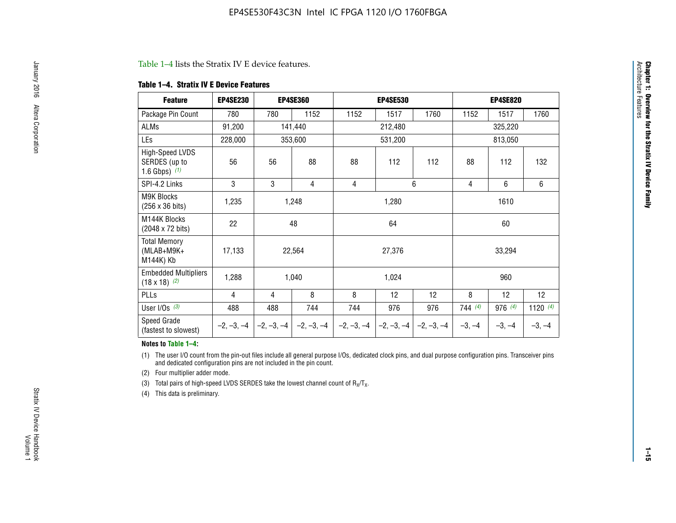#### Table 1–4 lists the Stratix IV E device features.

#### **Table 1–4. Stratix IV E Device Features**

| <b>Feature</b>                                      | <b>EP4SE230</b> |     | <b>EP4SE360</b>                        |              | <b>EP4SE530</b> |              |          | <b>EP4SE820</b> |            |
|-----------------------------------------------------|-----------------|-----|----------------------------------------|--------------|-----------------|--------------|----------|-----------------|------------|
| Package Pin Count                                   | 780             | 780 | 1152                                   | 1152         | 1517            | 1760         | 1152     | 1517            | 1760       |
| ALMs                                                | 91,200          |     | 141,440                                |              | 212,480         |              |          | 325,220         |            |
| LEs                                                 | 228,000         |     | 353,600                                |              | 531,200         | 813,050      |          |                 |            |
| High-Speed LVDS<br>SERDES (up to<br>1.6 Gbps) $(1)$ | 56              | 56  | 88                                     | 88           | 112             | 112          | 88       | 112             | 132        |
| SPI-4.2 Links                                       | 3               | 3   | 4                                      | 4            |                 | 6            | 4        | 6               | 6          |
| <b>M9K Blocks</b><br>(256 x 36 bits)                | 1,235           |     | 1,248                                  |              | 1,280           |              |          | 1610            |            |
| M144K Blocks<br>(2048 x 72 bits)                    | 22              |     | 48                                     |              | 64              |              |          | 60              |            |
| <b>Total Memory</b><br>$(MLAB+M9K+$<br>M144K) Kb    | 17,133          |     | 22,564                                 |              | 27,376          |              |          | 33,294          |            |
| <b>Embedded Multipliers</b><br>$(18 \times 18)$ (2) | 1,288           |     | 1,040                                  |              | 1,024           |              |          | 960             |            |
| PLLs                                                | 4               | 4   | 8                                      | 8            | 12              | 12           | 8        | 12              | 12         |
| User I/Os $(3)$                                     | 488             | 488 | 744                                    | 744          | 976             | 976          | 744(4)   | 976 (4)         | 1120 $(4)$ |
| Speed Grade<br>(fastest to slowest)                 |                 |     | $-2, -3, -4$ $-2, -3, -4$ $-2, -3, -4$ | $-2, -3, -4$ | $-2, -3, -4$    | $-2, -3, -4$ | $-3, -4$ | $-3, -4$        | $-3, -4$   |

#### **Notes to Table 1–4:**

(1) The user I/O count from the pin-out files include all general purpose I/Os, dedicated clock pins, and dual purpose configuration pins. Transceiver pins and dedicated configuration pins are not included in the pin count.

(2) Four multiplier adder mode.

(3) Total pairs of high-speed LVDS SERDES take the lowest channel count of  $R_X/T_X$ .

(4) This data is preliminary.

**Chapter 1: Overview for the Stratix IV Device Family**

**Chapter 1: Overview for the Stratix IV Device Family**<br>Architecture Faatures

Architecture Features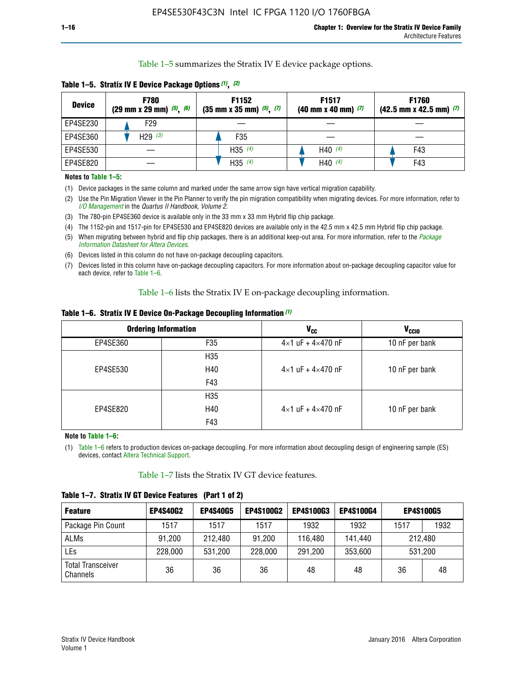Table 1–5 summarizes the Stratix IV E device package options.

| <b>Device</b> | <b>F780</b><br>$(29 \text{ mm} \times 29 \text{ mm})$ $(5)$ , $(6)$ | F1152<br>$(35 \text{ mm} \times 35 \text{ mm})$ $(5)$ , $(7)$ | F <sub>1517</sub><br>$(40 \text{ mm} \times 40 \text{ mm})$ (7) | <b>F1760</b><br>$(42.5$ mm x 42.5 mm) $(7)$ |
|---------------|---------------------------------------------------------------------|---------------------------------------------------------------|-----------------------------------------------------------------|---------------------------------------------|
| EP4SE230      | F29                                                                 |                                                               |                                                                 |                                             |
| EP4SE360      | H <sub>29</sub> $(3)$                                               | F35                                                           |                                                                 |                                             |
| EP4SE530      |                                                                     | H35 $(4)$                                                     | H40 $(4)$                                                       | F43                                         |
| EP4SE820      |                                                                     | H35 $(4)$                                                     | H40 $(4)$                                                       | F43                                         |

**Table 1–5. Stratix IV E Device Package Options** *(1)***,** *(2)*

#### **Notes to Table 1–5:**

(1) Device packages in the same column and marked under the same arrow sign have vertical migration capability.

(2) Use the Pin Migration Viewer in the Pin Planner to verify the pin migration compatibility when migrating devices. For more information, refer to *[I/O Management](http://www.altera.com/literature/hb/qts/qts_qii52013.pdf)* in the *Quartus II Handbook, Volume 2*.

(3) The 780-pin EP4SE360 device is available only in the 33 mm x 33 mm Hybrid flip chip package.

(4) The 1152-pin and 1517-pin for EP4SE530 and EP4SE820 devices are available only in the 42.5 mm x 42.5 mm Hybrid flip chip package.

(5) When migrating between hybrid and flip chip packages, there is an additional keep-out area. For more information, refer to the *[Package](http://www.altera.com/literature/ds/dspkg.pdf)  [Information Datasheet for Altera Devices](http://www.altera.com/literature/ds/dspkg.pdf)*.

(6) Devices listed in this column do not have on-package decoupling capacitors.

(7) Devices listed in this column have on-package decoupling capacitors. For more information about on-package decoupling capacitor value for each device, refer to Table 1–6.

Table 1–6 lists the Stratix IV E on-package decoupling information.

| Table 1–6. Stratix IV E Device On-Package Decoupling Information (1) |  |  |  |  |  |
|----------------------------------------------------------------------|--|--|--|--|--|
|----------------------------------------------------------------------|--|--|--|--|--|

|          | <b>Ordering Information</b> | V <sub>cc</sub>                     | <b>V<sub>CCIO</sub></b> |
|----------|-----------------------------|-------------------------------------|-------------------------|
| EP4SE360 | F <sub>35</sub>             | $4 \times 1$ uF + $4 \times 470$ nF | 10 nF per bank          |
|          | H35                         |                                     |                         |
| EP4SE530 | H40                         | $4\times1$ uF + $4\times470$ nF     | 10 nF per bank          |
|          | F43                         |                                     |                         |
|          | H35                         |                                     |                         |
| EP4SE820 | H40                         | $4\times1$ uF + $4\times470$ nF     | 10 nF per bank          |
|          | F43                         |                                     |                         |

**Note to Table 1–6:**

(1) Table 1–6 refers to production devices on-package decoupling. For more information about decoupling design of engineering sample (ES) devices, contact [Altera Technical Support](http://mysupport.altera.com/eservice/login.asp).

Table 1–7 lists the Stratix IV GT device features.

| <b>Feature</b>                       | <b>EP4S40G2</b> | <b>EP4S40G5</b> | <b>EP4S100G2</b> | <b>EP4S100G3</b> | <b>EP4S100G4</b> |      | <b>EP4S100G5</b> |
|--------------------------------------|-----------------|-----------------|------------------|------------------|------------------|------|------------------|
| Package Pin Count                    | 1517            | 1517            | 1517             | 1932             | 1932             | 1517 | 1932             |
| <b>ALMs</b>                          | 91,200          | 212,480         | 91,200           | 116,480          | 141,440          |      | 212.480          |
| LEs                                  | 228,000         | 531,200         | 228,000          | 291,200          | 353,600          |      | 531,200          |
| <b>Total Transceiver</b><br>Channels | 36              | 36              | 36               | 48               | 48               | 36   | 48               |

**Table 1–7. Stratix IV GT Device Features (Part 1 of 2)**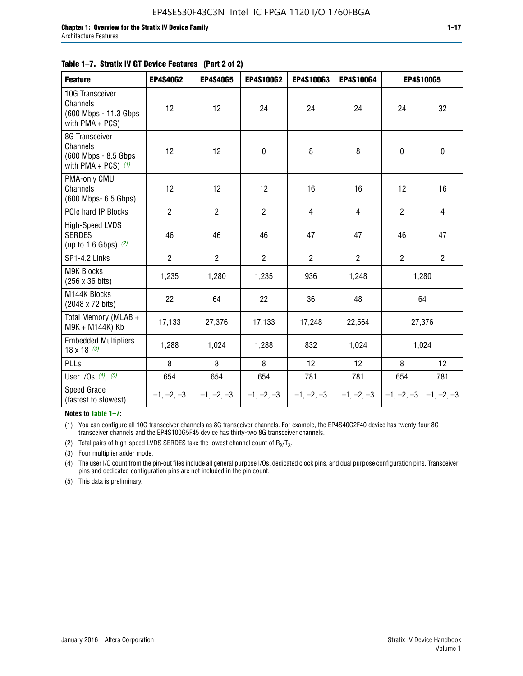#### **Table 1–7. Stratix IV GT Device Features (Part 2 of 2)**

| <b>Feature</b>                                                               | <b>EP4S40G2</b> | <b>EP4S40G5</b> | <b>EP4S100G2</b> | <b>EP4S100G3</b> | <b>EP4S100G4</b> |                | <b>EP4S100G5</b>          |
|------------------------------------------------------------------------------|-----------------|-----------------|------------------|------------------|------------------|----------------|---------------------------|
| 10G Transceiver<br>Channels<br>(600 Mbps - 11.3 Gbps)<br>with $PMA + PCS$ )  | 12              | 12              | 24               | 24               | 24               | 24             | 32                        |
| 8G Transceiver<br>Channels<br>(600 Mbps - 8.5 Gbps)<br>with PMA + PCS) $(1)$ | 12              | 12              | $\pmb{0}$        | 8                | 8                | $\mathbf 0$    | $\mathbf 0$               |
| PMA-only CMU<br>Channels<br>(600 Mbps- 6.5 Gbps)                             | 12              | 12              | 12               | 16               | 16               | 12             | 16                        |
| PCIe hard IP Blocks                                                          | $\overline{2}$  | $\overline{2}$  | $\overline{2}$   | $\overline{4}$   | $\overline{4}$   | $\overline{2}$ | $\overline{4}$            |
| <b>High-Speed LVDS</b><br><b>SERDES</b><br>(up to 1.6 Gbps) $(2)$            | 46              | 46              | 46               | 47               | 47               | 46             | 47                        |
| SP1-4.2 Links                                                                | $\overline{2}$  | $\overline{2}$  | $\overline{2}$   | $\overline{2}$   | $\overline{2}$   | $\overline{2}$ | $2^{\circ}$               |
| <b>M9K Blocks</b><br>(256 x 36 bits)                                         | 1,235           | 1,280           | 1,235            | 936              | 1,248            |                | 1,280                     |
| M144K Blocks<br>(2048 x 72 bits)                                             | 22              | 64              | 22               | 36               | 48               |                | 64                        |
| Total Memory (MLAB +<br>M9K + M144K) Kb                                      | 17,133          | 27,376          | 17,133           | 17,248           | 22,564           |                | 27,376                    |
| <b>Embedded Multipliers</b><br>$18 \times 18^{(3)}$                          | 1,288           | 1,024           | 1,288            | 832              | 1,024            |                | 1,024                     |
| PLLs                                                                         | 8               | 8               | 8                | 12               | 12               | 8              | 12                        |
| User I/Os $(4)$ , $(5)$                                                      | 654             | 654             | 654              | 781              | 781              | 654            | 781                       |
| Speed Grade<br>(fastest to slowest)                                          | $-1, -2, -3$    | $-1, -2, -3$    | $-1, -2, -3$     | $-1, -2, -3$     | $-1, -2, -3$     |                | $-1, -2, -3$ $-1, -2, -3$ |

**Notes to Table 1–7:**

(1) You can configure all 10G transceiver channels as 8G transceiver channels. For example, the EP4S40G2F40 device has twenty-four 8G transceiver channels and the EP4S100G5F45 device has thirty-two 8G transceiver channels.

(2) Total pairs of high-speed LVDS SERDES take the lowest channel count of  $R_X/T_X$ .

(3) Four multiplier adder mode.

(4) The user I/O count from the pin-out files include all general purpose I/Os, dedicated clock pins, and dual purpose configuration pins. Transceiver pins and dedicated configuration pins are not included in the pin count.

(5) This data is preliminary.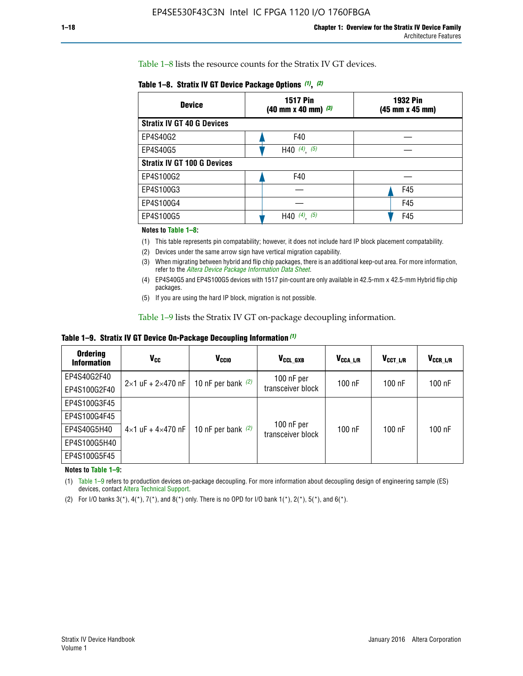Table 1–8 lists the resource counts for the Stratix IV GT devices.

| <b>Device</b>                      | <b>1517 Pin</b><br>$(40 \text{ mm} \times 40 \text{ mm})$ (3) | <b>1932 Pin</b><br>(45 mm x 45 mm) |  |
|------------------------------------|---------------------------------------------------------------|------------------------------------|--|
| <b>Stratix IV GT 40 G Devices</b>  |                                                               |                                    |  |
| EP4S40G2                           | F40                                                           |                                    |  |
| EP4S40G5                           | H40 $(4)$ , $(5)$                                             |                                    |  |
| <b>Stratix IV GT 100 G Devices</b> |                                                               |                                    |  |
| EP4S100G2                          | F40                                                           |                                    |  |
| EP4S100G3                          |                                                               | F45                                |  |
| EP4S100G4                          |                                                               | F45                                |  |
| EP4S100G5                          | H40 $(4)$ $(5)$                                               | F45                                |  |

#### **Notes to Table 1–8:**

(1) This table represents pin compatability; however, it does not include hard IP block placement compatability.

- (2) Devices under the same arrow sign have vertical migration capability.
- (3) When migrating between hybrid and flip chip packages, there is an additional keep-out area. For more information, refer to the *[Altera Device Package Information Data Sheet](http://www.altera.com/literature/ds/dspkg.pdf)*.
- (4) EP4S40G5 and EP4S100G5 devices with 1517 pin-count are only available in 42.5-mm x 42.5-mm Hybrid flip chip packages.
- (5) If you are using the hard IP block, migration is not possible.

Table 1–9 lists the Stratix IV GT on-package decoupling information.

**Table 1–9. Stratix IV GT Device On-Package Decoupling Information** *(1)*

| <b>Ordering</b><br><b>Information</b> | Vcc                                 | <b>V<sub>CCIO</sub></b> | V <sub>CCL GXB</sub>            | V <sub>CCA L/R</sub> | V <sub>CCT L/R</sub> | V <sub>CCR L/R</sub> |
|---------------------------------------|-------------------------------------|-------------------------|---------------------------------|----------------------|----------------------|----------------------|
| EP4S40G2F40                           | $2 \times 1$ uF + $2 \times 470$ nF | 10 nF per bank $(2)$    | 100 nF per<br>transceiver block | 100 nF               | $100$ nF             | $100$ nF             |
| EP4S100G2F40                          |                                     |                         |                                 |                      |                      |                      |
| EP4S100G3F45                          |                                     | 10 nF per bank $(2)$    | 100 nF per<br>transceiver block | 100 nF               | $100$ nF             | $100$ nF             |
| EP4S100G4F45                          |                                     |                         |                                 |                      |                      |                      |
| EP4S40G5H40                           | $4 \times 1$ uF + $4 \times 470$ nF |                         |                                 |                      |                      |                      |
| EP4S100G5H40                          |                                     |                         |                                 |                      |                      |                      |
| EP4S100G5F45                          |                                     |                         |                                 |                      |                      |                      |

**Notes to Table 1–9:**

(1) Table 1–9 refers to production devices on-package decoupling. For more information about decoupling design of engineering sample (ES) devices, contact [Altera Technical Support](http://mysupport.altera.com/eservice/login.asp).

(2) For I/O banks  $3(*)$ ,  $4(*)$ ,  $7(*)$ , and  $8(*)$  only. There is no OPD for I/O bank  $1(*)$ ,  $2(*)$ ,  $5(*)$ , and  $6(*)$ .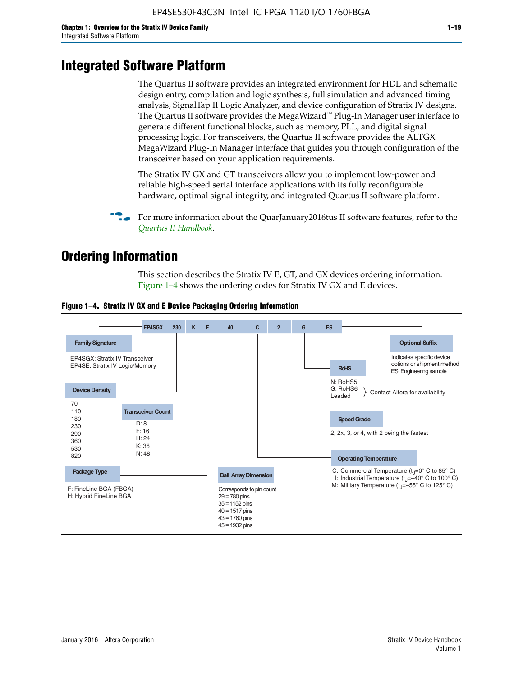# **Integrated Software Platform**

The Quartus II software provides an integrated environment for HDL and schematic design entry, compilation and logic synthesis, full simulation and advanced timing analysis, SignalTap II Logic Analyzer, and device configuration of Stratix IV designs. The Quartus II software provides the MegaWizard<sup> $M$ </sup> Plug-In Manager user interface to generate different functional blocks, such as memory, PLL, and digital signal processing logic. For transceivers, the Quartus II software provides the ALTGX MegaWizard Plug-In Manager interface that guides you through configuration of the transceiver based on your application requirements.

The Stratix IV GX and GT transceivers allow you to implement low-power and reliable high-speed serial interface applications with its fully reconfigurable hardware, optimal signal integrity, and integrated Quartus II software platform.

For more information about the QuarJanuary2016tus II software features, refer to the *[Quartus II Handbook](http://www.altera.com/literature/lit-qts.jsp)*.

# **Ordering Information**

This section describes the Stratix IV E, GT, and GX devices ordering information. Figure 1–4 shows the ordering codes for Stratix IV GX and E devices.



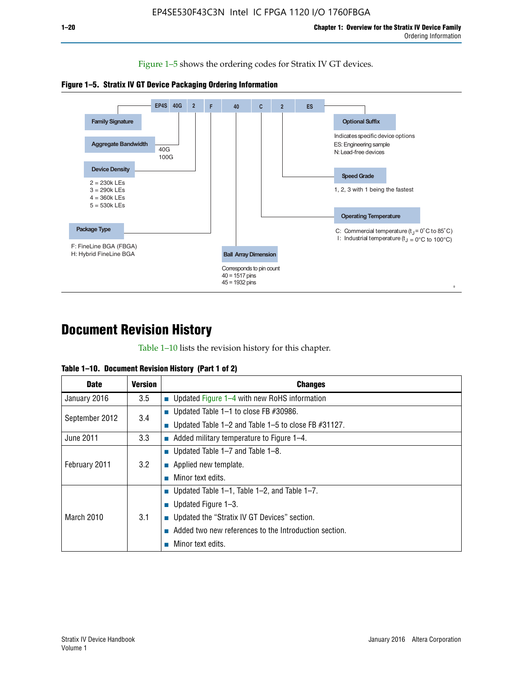Figure 1–5 shows the ordering codes for Stratix IV GT devices.





# **Document Revision History**

Table 1–10 lists the revision history for this chapter.

| Table 1–10. Document Revision History (Part 1 of 2) |  |  |  |  |  |
|-----------------------------------------------------|--|--|--|--|--|
|-----------------------------------------------------|--|--|--|--|--|

| <b>Date</b>       | Version | <b>Changes</b>                                         |
|-------------------|---------|--------------------------------------------------------|
| January 2016      | 3.5     | <b>Updated Figure 1–4 with new RoHS information</b>    |
| September 2012    | 3.4     | ■ Updated Table 1–1 to close FB $#30986$ .             |
|                   |         | Updated Table 1–2 and Table 1–5 to close FB $#31127$ . |
| June 2011         | 3.3     | Added military temperature to Figure 1–4.              |
| February 2011     | 3.2     | ■ Updated Table 1–7 and Table 1–8.                     |
|                   |         | $\blacksquare$ Applied new template.                   |
|                   |         | Minor text edits.                                      |
| <b>March 2010</b> |         | <b>Updated Table 1–1, Table 1–2, and Table 1–7.</b>    |
|                   | 3.1     | ■ Updated Figure $1-3$ .                               |
|                   |         | ■ Updated the "Stratix IV GT Devices" section.         |
|                   |         | Added two new references to the Introduction section.  |
|                   |         | Minor text edits.                                      |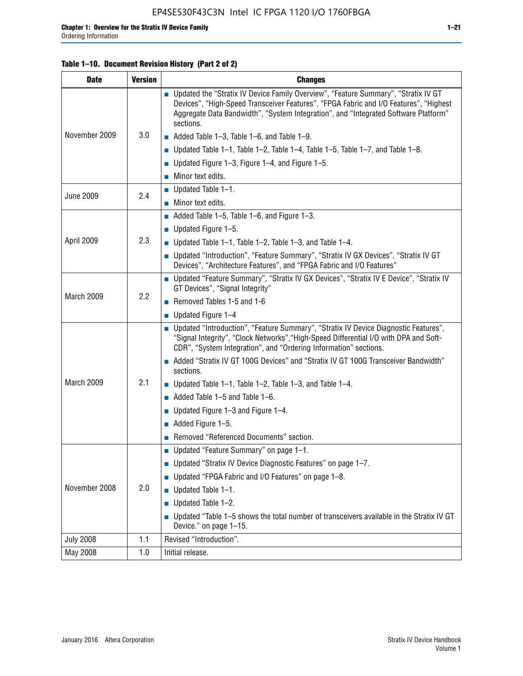#### **Table 1–10. Document Revision History (Part 2 of 2)**

| <b>Date</b>      | <b>Version</b> | <b>Changes</b>                                                                                                                                                                                                                                                                    |  |  |
|------------------|----------------|-----------------------------------------------------------------------------------------------------------------------------------------------------------------------------------------------------------------------------------------------------------------------------------|--|--|
|                  |                | ■ Updated the "Stratix IV Device Family Overview", "Feature Summary", "Stratix IV GT<br>Devices", "High-Speed Transceiver Features", "FPGA Fabric and I/O Features", "Highest<br>Aggregate Data Bandwidth", "System Integration", and "Integrated Software Platform"<br>sections. |  |  |
| November 2009    | 3.0            | $\blacksquare$ Added Table 1-3, Table 1-6, and Table 1-9.                                                                                                                                                                                                                         |  |  |
|                  |                | $\blacksquare$ Updated Table 1-1, Table 1-2, Table 1-4, Table 1-5, Table 1-7, and Table 1-8.                                                                                                                                                                                      |  |  |
|                  |                | ■ Updated Figure 1–3, Figure 1–4, and Figure 1–5.                                                                                                                                                                                                                                 |  |  |
|                  |                | $\blacksquare$ Minor text edits.                                                                                                                                                                                                                                                  |  |  |
| <b>June 2009</b> | 2.4            | $\blacksquare$ Updated Table 1-1.                                                                                                                                                                                                                                                 |  |  |
|                  |                | Minor text edits.                                                                                                                                                                                                                                                                 |  |  |
|                  |                | $\blacksquare$ Added Table 1–5, Table 1–6, and Figure 1–3.                                                                                                                                                                                                                        |  |  |
|                  |                | $\blacksquare$ Updated Figure 1-5.                                                                                                                                                                                                                                                |  |  |
| April 2009       | 2.3            | Updated Table $1-1$ , Table $1-2$ , Table $1-3$ , and Table $1-4$ .                                                                                                                                                                                                               |  |  |
|                  |                | ■ Updated "Introduction", "Feature Summary", "Stratix IV GX Devices", "Stratix IV GT<br>Devices", "Architecture Features", and "FPGA Fabric and I/O Features"                                                                                                                     |  |  |
|                  | 2.2            | ■ Updated "Feature Summary", "Stratix IV GX Devices", "Stratix IV E Device", "Stratix IV<br>GT Devices", "Signal Integrity"                                                                                                                                                       |  |  |
| March 2009       |                | Removed Tables 1-5 and 1-6                                                                                                                                                                                                                                                        |  |  |
|                  |                | Updated Figure 1-4                                                                                                                                                                                                                                                                |  |  |
|                  |                | ■ Updated "Introduction", "Feature Summary", "Stratix IV Device Diagnostic Features",<br>"Signal Integrity", "Clock Networks", "High-Speed Differential I/O with DPA and Soft-<br>CDR", "System Integration", and "Ordering Information" sections.                                |  |  |
|                  |                | Added "Stratix IV GT 100G Devices" and "Stratix IV GT 100G Transceiver Bandwidth"<br>sections.                                                                                                                                                                                    |  |  |
| March 2009       | 2.1            | <b>Updated Table 1–1, Table 1–2, Table 1–3, and Table 1–4.</b>                                                                                                                                                                                                                    |  |  |
|                  |                | $\blacksquare$ Added Table 1-5 and Table 1-6.                                                                                                                                                                                                                                     |  |  |
|                  |                | ■ Updated Figure $1-3$ and Figure $1-4$ .                                                                                                                                                                                                                                         |  |  |
|                  |                | $\blacksquare$ Added Figure 1-5.                                                                                                                                                                                                                                                  |  |  |
|                  |                | Removed "Referenced Documents" section.                                                                                                                                                                                                                                           |  |  |
|                  | 2.0            | Updated "Feature Summary" on page 1-1.                                                                                                                                                                                                                                            |  |  |
| November 2008    |                | ■ Updated "Stratix IV Device Diagnostic Features" on page 1-7.                                                                                                                                                                                                                    |  |  |
|                  |                | Updated "FPGA Fabric and I/O Features" on page 1-8.                                                                                                                                                                                                                               |  |  |
|                  |                | $\blacksquare$ Updated Table 1-1.                                                                                                                                                                                                                                                 |  |  |
|                  |                | Updated Table 1-2.                                                                                                                                                                                                                                                                |  |  |
|                  |                | Updated "Table 1-5 shows the total number of transceivers available in the Stratix IV GT<br>Device." on page 1-15.                                                                                                                                                                |  |  |
| <b>July 2008</b> | 1.1            | Revised "Introduction".                                                                                                                                                                                                                                                           |  |  |
| May 2008         | 1.0            | Initial release.                                                                                                                                                                                                                                                                  |  |  |